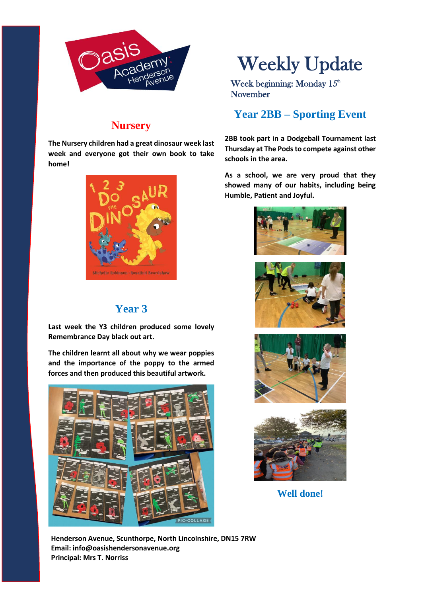

## **Nursery**

**The Nursery children had a great dinosaur week last week and everyone got their own book to take home!**



# **Year 3**

**Last week the Y3 children produced some lovely Remembrance Day black out art.**

**The children learnt all about why we wear poppies and the importance of the poppy to the armed forces and then produced this beautiful artwork.**



# Weekly Update

Week beginning: Monday  $15<sup>th</sup>$ November

# **Year 2BB – Sporting Event**

**2BB took part in a Dodgeball Tournament last Thursday at The Pods to compete against other schools in the area.**

**As a school, we are very proud that they showed many of our habits, including being Humble, Patient and Joyful.**



**Well done!**

**Henderson Avenue, Scunthorpe, North Lincolnshire, DN15 7RW Email: info@oasishendersonavenue.org Principal: Mrs T. Norriss**